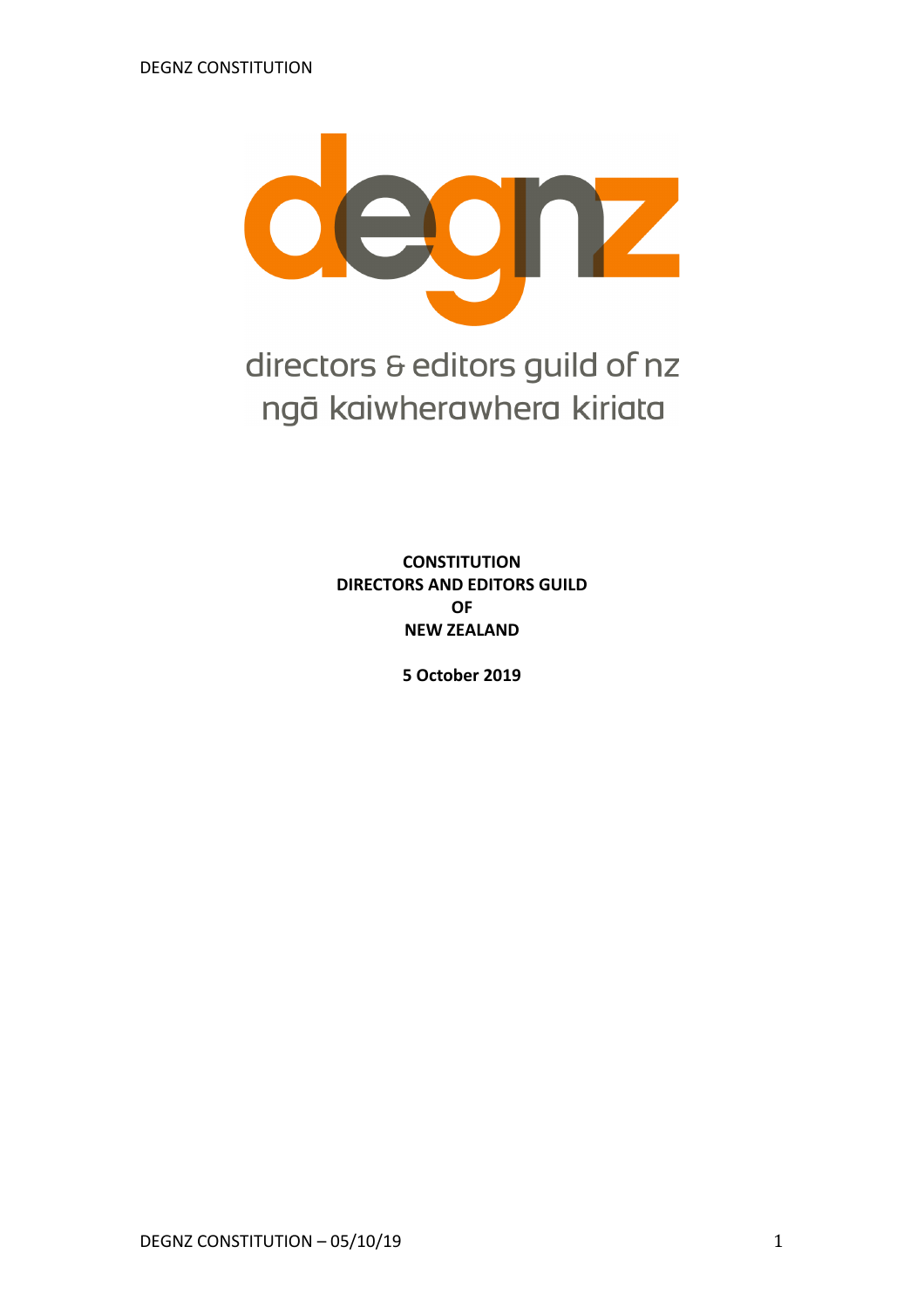

directors & editors guild of nz ngā kaiwherawhera kiriata

> **CONSTITUTION DIRECTORS AND EDITORS GUILD OF NEW ZEALAND**

> > **5 October 2019**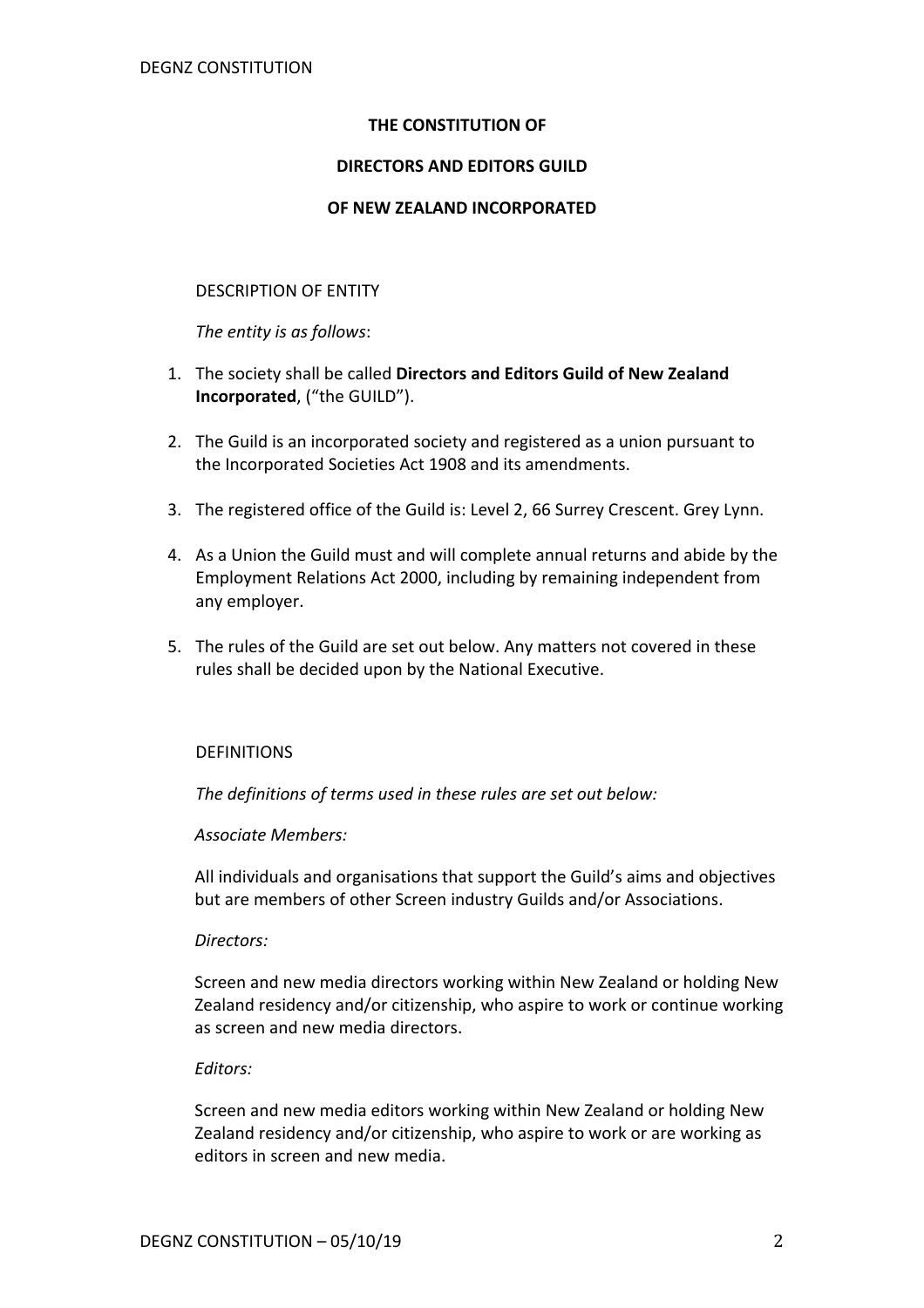# **THE CONSTITUTION OF**

## **DIRECTORS AND EDITORS GUILD**

## **OF NEW ZEALAND INCORPORATED**

## DESCRIPTION OF ENTITY

*The entity is as follows*:

- 1. The society shall be called **Directors and Editors Guild of New Zealand Incorporated**, ("the GUILD").
- 2. The Guild is an incorporated society and registered as a union pursuant to the Incorporated Societies Act 1908 and its amendments.
- 3. The registered office of the Guild is: Level 2, 66 Surrey Crescent. Grey Lynn.
- 4. As a Union the Guild must and will complete annual returns and abide by the Employment Relations Act 2000, including by remaining independent from any employer.
- 5. The rules of the Guild are set out below. Any matters not covered in these rules shall be decided upon by the National Executive.

## DEFINITIONS

*The definitions of terms used in these rules are set out below:*

## *Associate Members:*

All individuals and organisations that support the Guild's aims and objectives but are members of other Screen industry Guilds and/or Associations.

## *Directors:*

Screen and new media directors working within New Zealand or holding New Zealand residency and/or citizenship, who aspire to work or continue working as screen and new media directors.

## *Editors:*

Screen and new media editors working within New Zealand or holding New Zealand residency and/or citizenship, who aspire to work or are working as editors in screen and new media.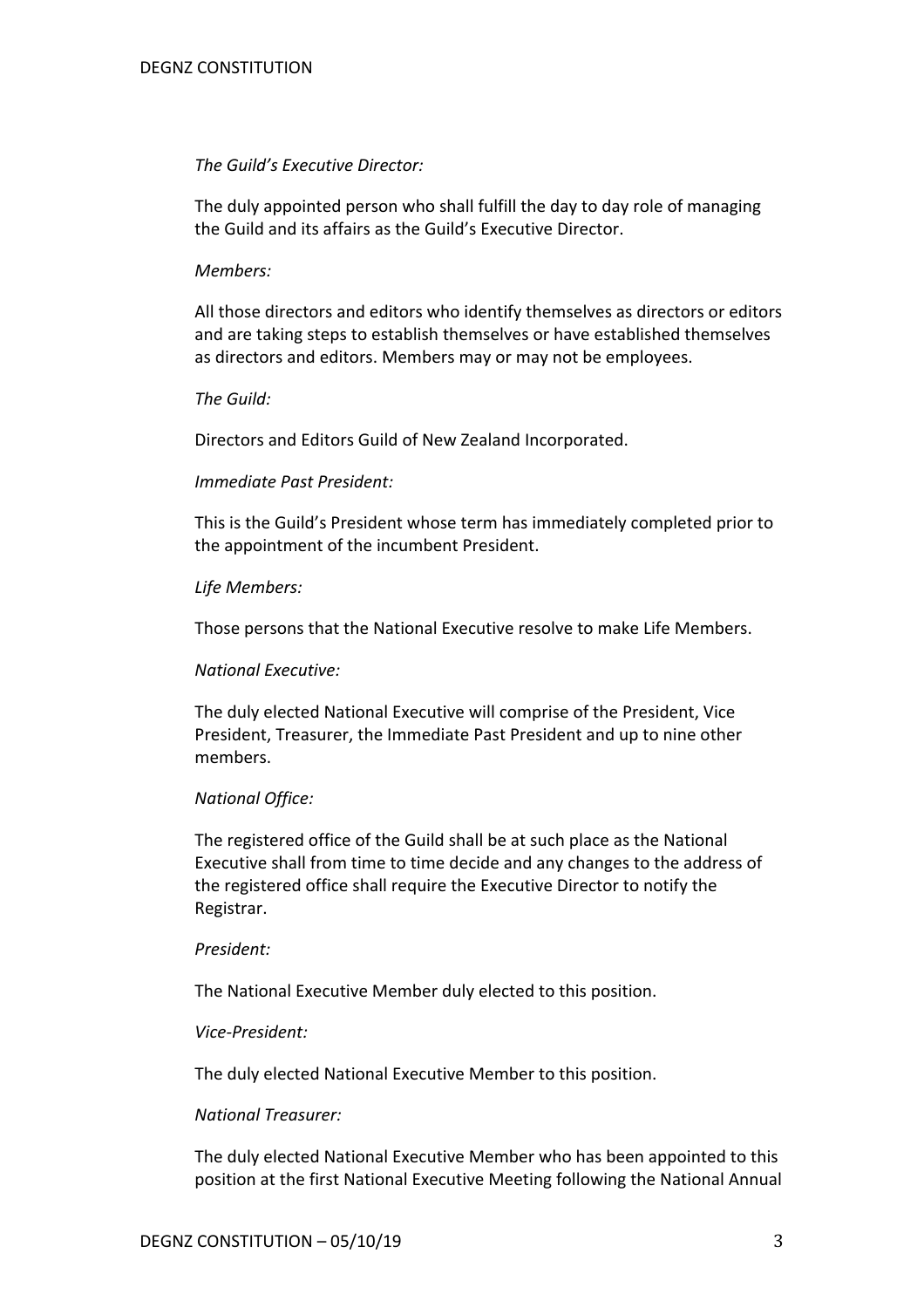#### *The Guild's Executive Director:*

The duly appointed person who shall fulfill the day to day role of managing the Guild and its affairs as the Guild's Executive Director.

#### *Members:*

All those directors and editors who identify themselves as directors or editors and are taking steps to establish themselves or have established themselves as directors and editors. Members may or may not be employees.

#### *The Guild:*

Directors and Editors Guild of New Zealand Incorporated.

#### *Immediate Past President:*

This is the Guild's President whose term has immediately completed prior to the appointment of the incumbent President.

#### *Life Members:*

Those persons that the National Executive resolve to make Life Members.

#### *National Executive:*

The duly elected National Executive will comprise of the President, Vice President, Treasurer, the Immediate Past President and up to nine other members.

## *National Office:*

The registered office of the Guild shall be at such place as the National Executive shall from time to time decide and any changes to the address of the registered office shall require the Executive Director to notify the Registrar.

#### *President:*

The National Executive Member duly elected to this position.

#### *Vice-President:*

The duly elected National Executive Member to this position.

#### *National Treasurer:*

The duly elected National Executive Member who has been appointed to this position at the first National Executive Meeting following the National Annual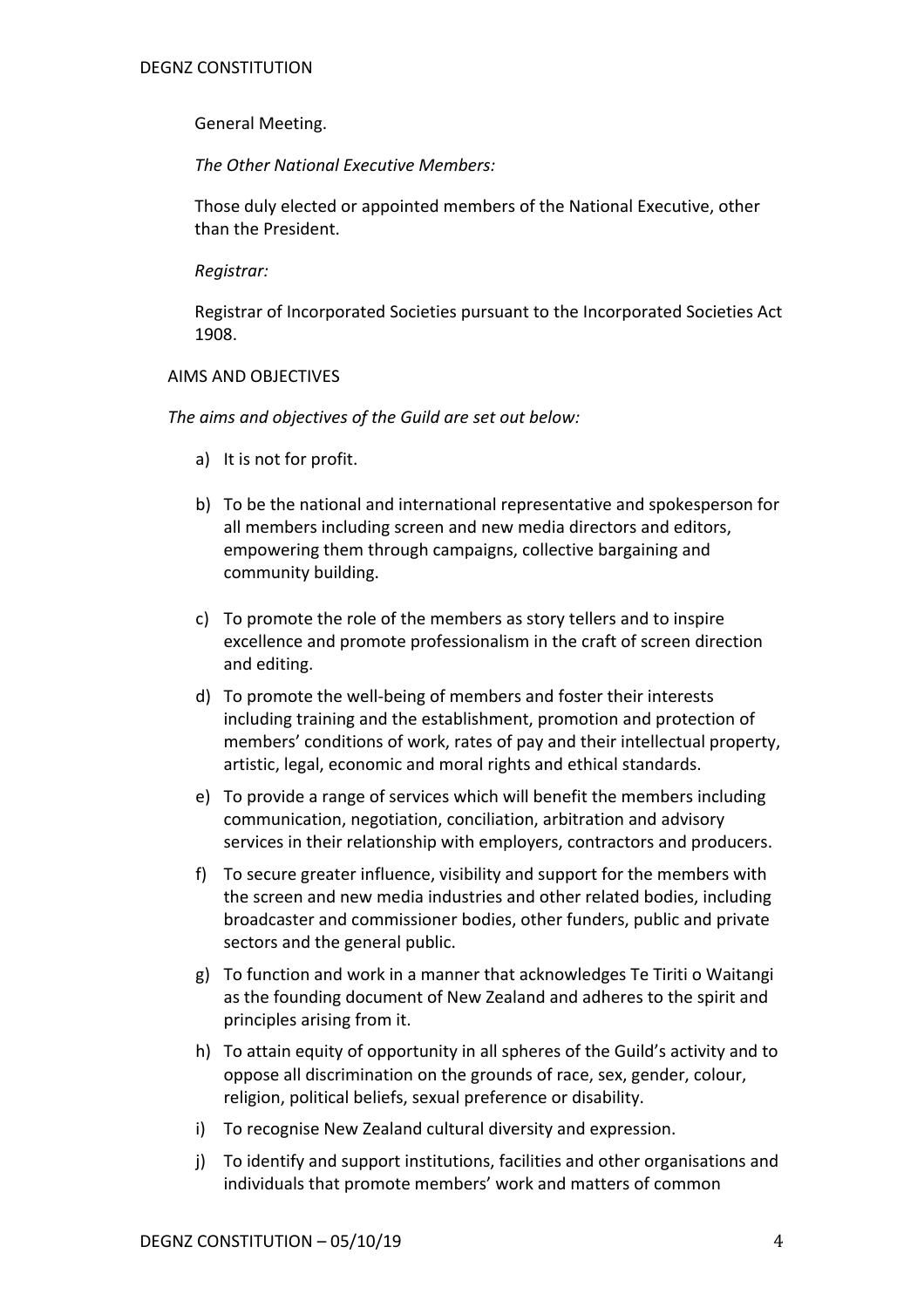# General Meeting.

*The Other National Executive Members:*

Those duly elected or appointed members of the National Executive, other than the President.

*Registrar:*

Registrar of Incorporated Societies pursuant to the Incorporated Societies Act 1908.

## AIMS AND OBJECTIVES

*The aims and objectives of the Guild are set out below:*

- a) It is not for profit.
- b) To be the national and international representative and spokesperson for all members including screen and new media directors and editors, empowering them through campaigns, collective bargaining and community building.
- c) To promote the role of the members as story tellers and to inspire excellence and promote professionalism in the craft of screen direction and editing.
- d) To promote the well-being of members and foster their interests including training and the establishment, promotion and protection of members' conditions of work, rates of pay and their intellectual property, artistic, legal, economic and moral rights and ethical standards.
- e) To provide a range of services which will benefit the members including communication, negotiation, conciliation, arbitration and advisory services in their relationship with employers, contractors and producers.
- f) To secure greater influence, visibility and support for the members with the screen and new media industries and other related bodies, including broadcaster and commissioner bodies, other funders, public and private sectors and the general public.
- g) To function and work in a manner that acknowledges Te Tiriti o Waitangi as the founding document of New Zealand and adheres to the spirit and principles arising from it.
- h) To attain equity of opportunity in all spheres of the Guild's activity and to oppose all discrimination on the grounds of race, sex, gender, colour, religion, political beliefs, sexual preference or disability.
- i) To recognise New Zealand cultural diversity and expression.
- j) To identify and support institutions, facilities and other organisations and individuals that promote members' work and matters of common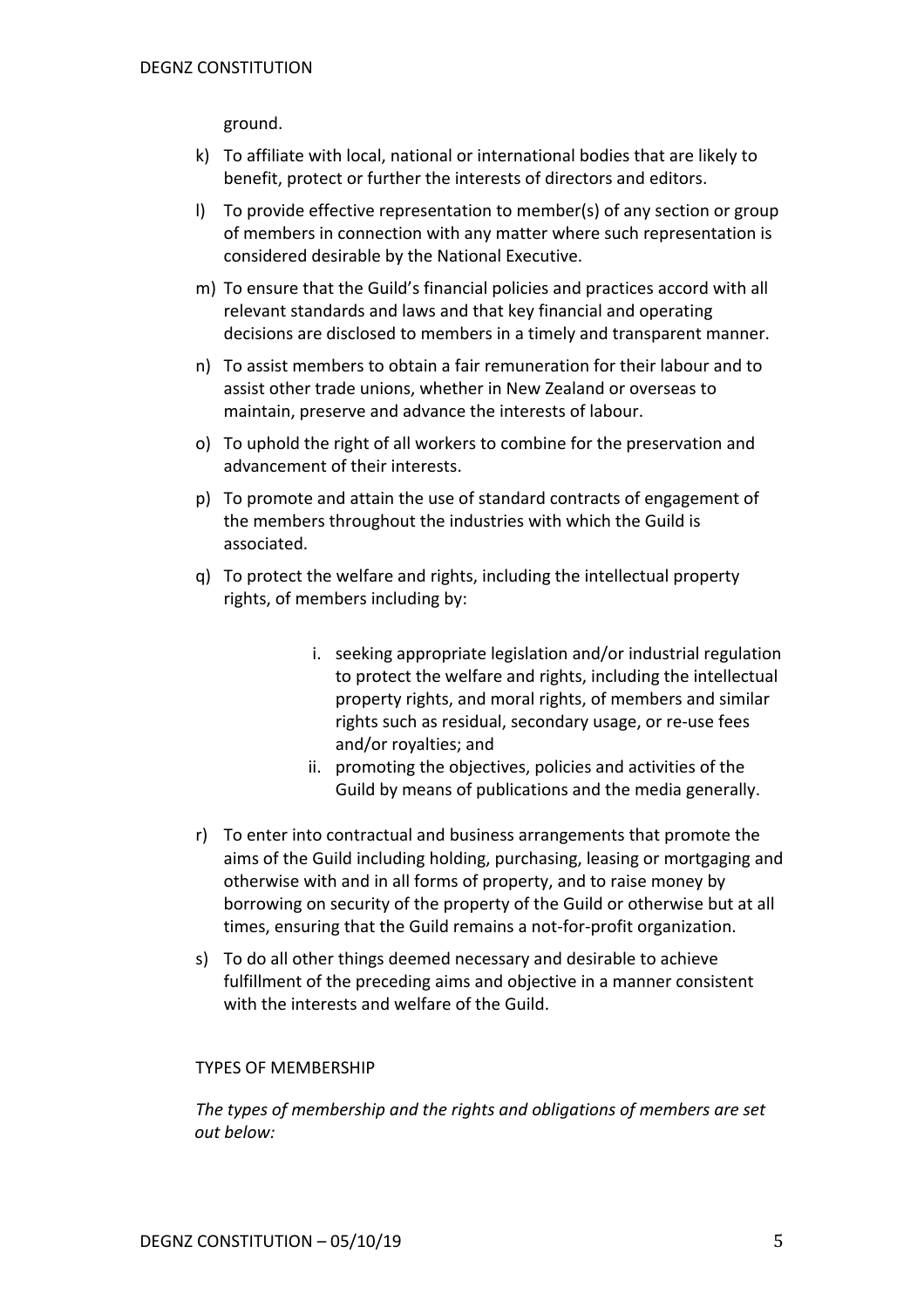ground.

- k) To affiliate with local, national or international bodies that are likely to benefit, protect or further the interests of directors and editors.
- l) To provide effective representation to member(s) of any section or group of members in connection with any matter where such representation is considered desirable by the National Executive.
- m) To ensure that the Guild's financial policies and practices accord with all relevant standards and laws and that key financial and operating decisions are disclosed to members in a timely and transparent manner.
- n) To assist members to obtain a fair remuneration for their labour and to assist other trade unions, whether in New Zealand or overseas to maintain, preserve and advance the interests of labour.
- o) To uphold the right of all workers to combine for the preservation and advancement of their interests.
- p) To promote and attain the use of standard contracts of engagement of the members throughout the industries with which the Guild is associated.
- q) To protect the welfare and rights, including the intellectual property rights, of members including by:
	- i. seeking appropriate legislation and/or industrial regulation to protect the welfare and rights, including the intellectual property rights, and moral rights, of members and similar rights such as residual, secondary usage, or re-use fees and/or royalties; and
	- ii. promoting the objectives, policies and activities of the Guild by means of publications and the media generally.
- r) To enter into contractual and business arrangements that promote the aims of the Guild including holding, purchasing, leasing or mortgaging and otherwise with and in all forms of property, and to raise money by borrowing on security of the property of the Guild or otherwise but at all times, ensuring that the Guild remains a not-for-profit organization.
- s) To do all other things deemed necessary and desirable to achieve fulfillment of the preceding aims and objective in a manner consistent with the interests and welfare of the Guild.

## TYPES OF MEMBERSHIP

*The types of membership and the rights and obligations of members are set out below:*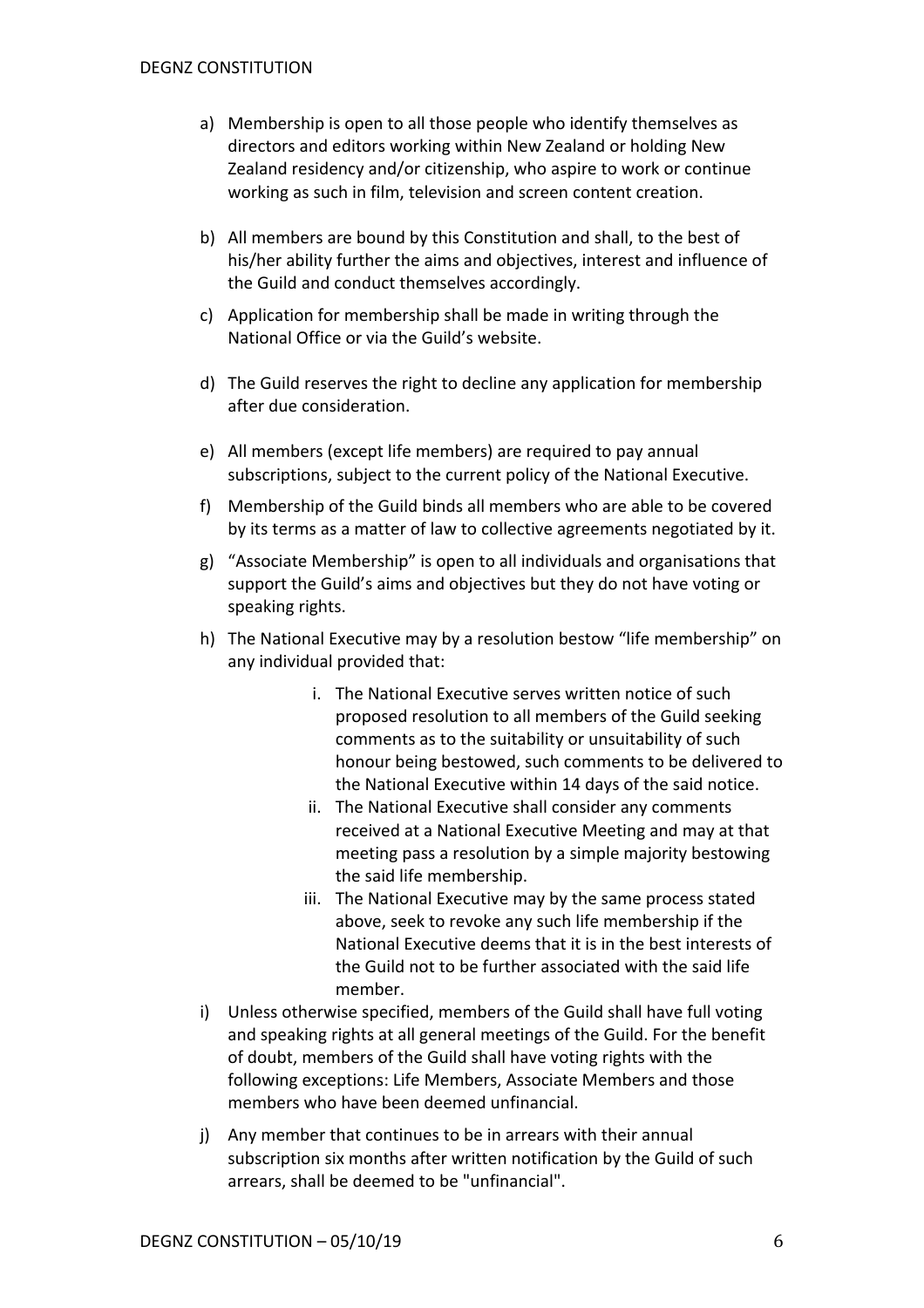- a) Membership is open to all those people who identify themselves as directors and editors working within New Zealand or holding New Zealand residency and/or citizenship, who aspire to work or continue working as such in film, television and screen content creation.
- b) All members are bound by this Constitution and shall, to the best of his/her ability further the aims and objectives, interest and influence of the Guild and conduct themselves accordingly.
- c) Application for membership shall be made in writing through the National Office or via the Guild's website.
- d) The Guild reserves the right to decline any application for membership after due consideration.
- e) All members (except life members) are required to pay annual subscriptions, subject to the current policy of the National Executive.
- f) Membership of the Guild binds all members who are able to be covered by its terms as a matter of law to collective agreements negotiated by it.
- g) "Associate Membership" is open to all individuals and organisations that support the Guild's aims and objectives but they do not have voting or speaking rights.
- h) The National Executive may by a resolution bestow "life membership" on any individual provided that:
	- i. The National Executive serves written notice of such proposed resolution to all members of the Guild seeking comments as to the suitability or unsuitability of such honour being bestowed, such comments to be delivered to the National Executive within 14 days of the said notice.
	- ii. The National Executive shall consider any comments received at a National Executive Meeting and may at that meeting pass a resolution by a simple majority bestowing the said life membership.
	- iii. The National Executive may by the same process stated above, seek to revoke any such life membership if the National Executive deems that it is in the best interests of the Guild not to be further associated with the said life member.
- i) Unless otherwise specified, members of the Guild shall have full voting and speaking rights at all general meetings of the Guild. For the benefit of doubt, members of the Guild shall have voting rights with the following exceptions: Life Members, Associate Members and those members who have been deemed unfinancial.
- j) Any member that continues to be in arrears with their annual subscription six months after written notification by the Guild of such arrears, shall be deemed to be "unfinancial".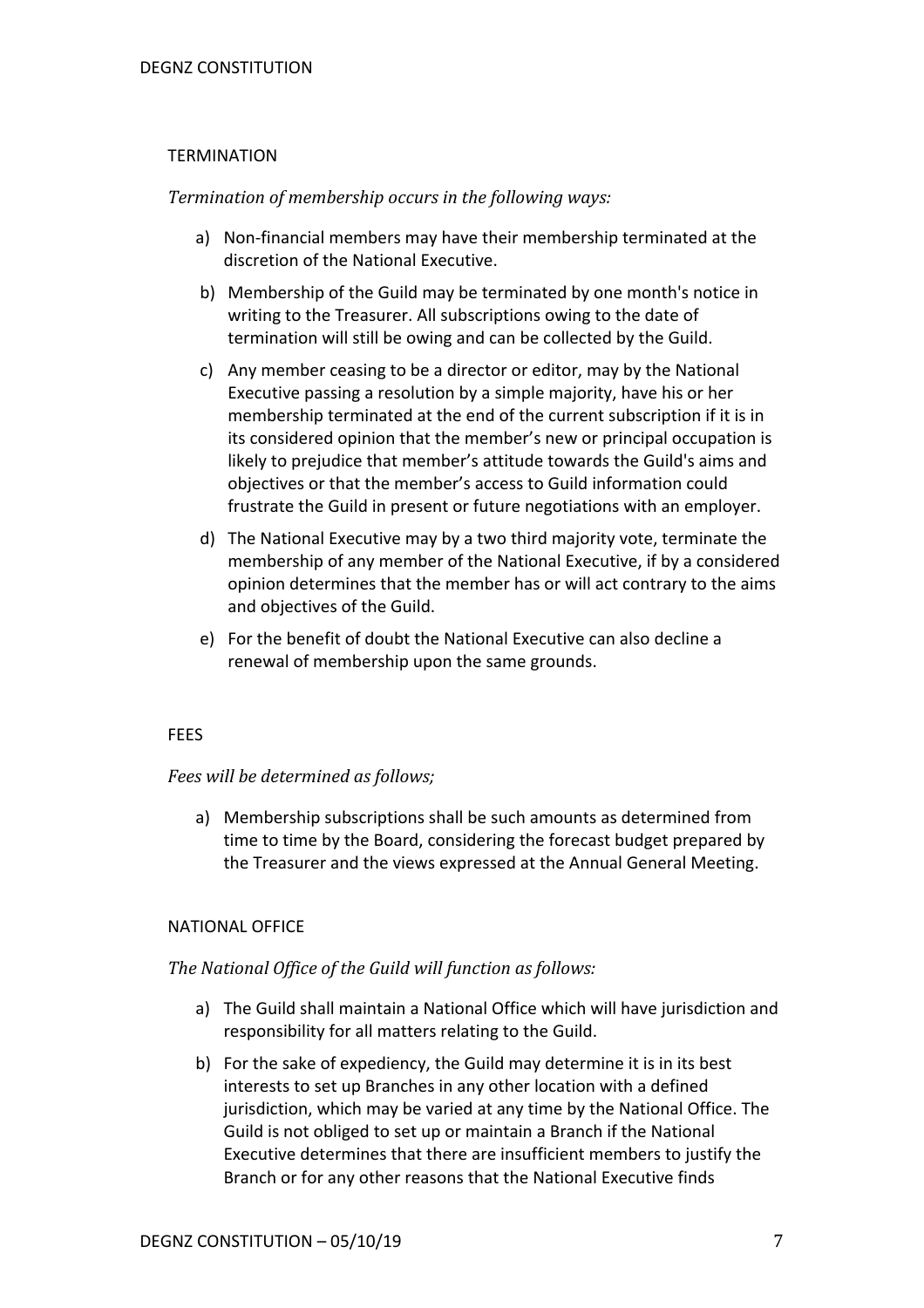## **TERMINATION**

# *Termination of membership occurs in the following ways:*

- a) Non-financial members may have their membership terminated at the discretion of the National Executive.
- b) Membership of the Guild may be terminated by one month's notice in writing to the Treasurer. All subscriptions owing to the date of termination will still be owing and can be collected by the Guild.
- c) Any member ceasing to be a director or editor, may by the National Executive passing a resolution by a simple majority, have his or her membership terminated at the end of the current subscription if it is in its considered opinion that the member's new or principal occupation is likely to prejudice that member's attitude towards the Guild's aims and objectives or that the member's access to Guild information could frustrate the Guild in present or future negotiations with an employer.
- d) The National Executive may by a two third majority vote, terminate the membership of any member of the National Executive, if by a considered opinion determines that the member has or will act contrary to the aims and objectives of the Guild.
- e) For the benefit of doubt the National Executive can also decline a renewal of membership upon the same grounds.

## FEES

## *Fees will be determined as follows;*

a) Membership subscriptions shall be such amounts as determined from time to time by the Board, considering the forecast budget prepared by the Treasurer and the views expressed at the Annual General Meeting.

## NATIONAL OFFICE

## The National Office of the Guild will function as follows:

- a) The Guild shall maintain a National Office which will have jurisdiction and responsibility for all matters relating to the Guild.
- b) For the sake of expediency, the Guild may determine it is in its best interests to set up Branches in any other location with a defined jurisdiction, which may be varied at any time by the National Office. The Guild is not obliged to set up or maintain a Branch if the National Executive determines that there are insufficient members to justify the Branch or for any other reasons that the National Executive finds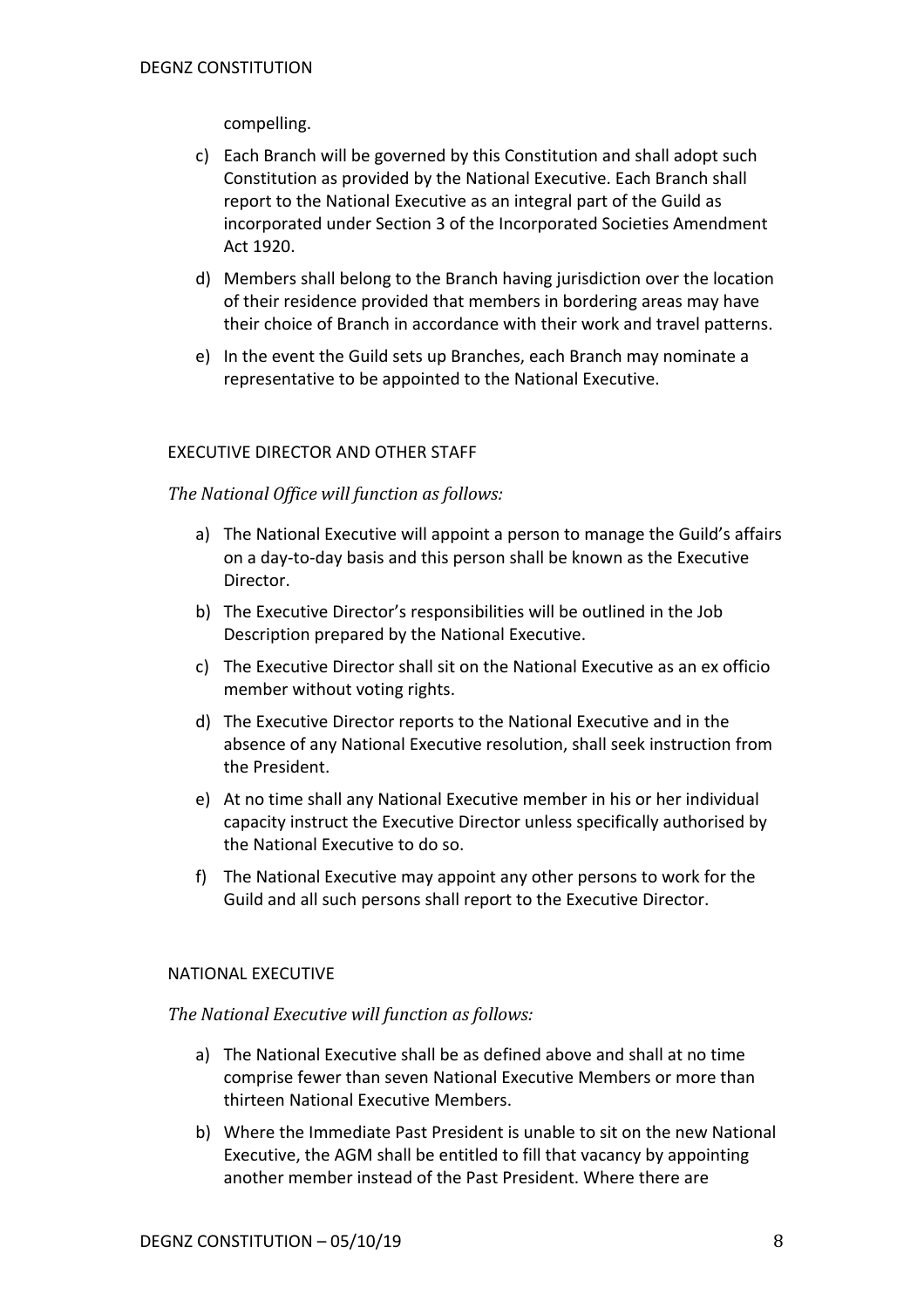# compelling.

- c) Each Branch will be governed by this Constitution and shall adopt such Constitution as provided by the National Executive. Each Branch shall report to the National Executive as an integral part of the Guild as incorporated under Section 3 of the Incorporated Societies Amendment Act 1920.
- d) Members shall belong to the Branch having jurisdiction over the location of their residence provided that members in bordering areas may have their choice of Branch in accordance with their work and travel patterns.
- e) In the event the Guild sets up Branches, each Branch may nominate a representative to be appointed to the National Executive.

## EXECUTIVE DIRECTOR AND OTHER STAFF

#### The National Office will function as follows:

- a) The National Executive will appoint a person to manage the Guild's affairs on a day-to-day basis and this person shall be known as the Executive Director.
- b) The Executive Director's responsibilities will be outlined in the Job Description prepared by the National Executive.
- c) The Executive Director shall sit on the National Executive as an ex officio member without voting rights.
- d) The Executive Director reports to the National Executive and in the absence of any National Executive resolution, shall seek instruction from the President.
- e) At no time shall any National Executive member in his or her individual capacity instruct the Executive Director unless specifically authorised by the National Executive to do so.
- f) The National Executive may appoint any other persons to work for the Guild and all such persons shall report to the Executive Director.

#### NATIONAL EXECUTIVE

#### *The National Executive will function as follows:*

- a) The National Executive shall be as defined above and shall at no time comprise fewer than seven National Executive Members or more than thirteen National Executive Members.
- b) Where the Immediate Past President is unable to sit on the new National Executive, the AGM shall be entitled to fill that vacancy by appointing another member instead of the Past President. Where there are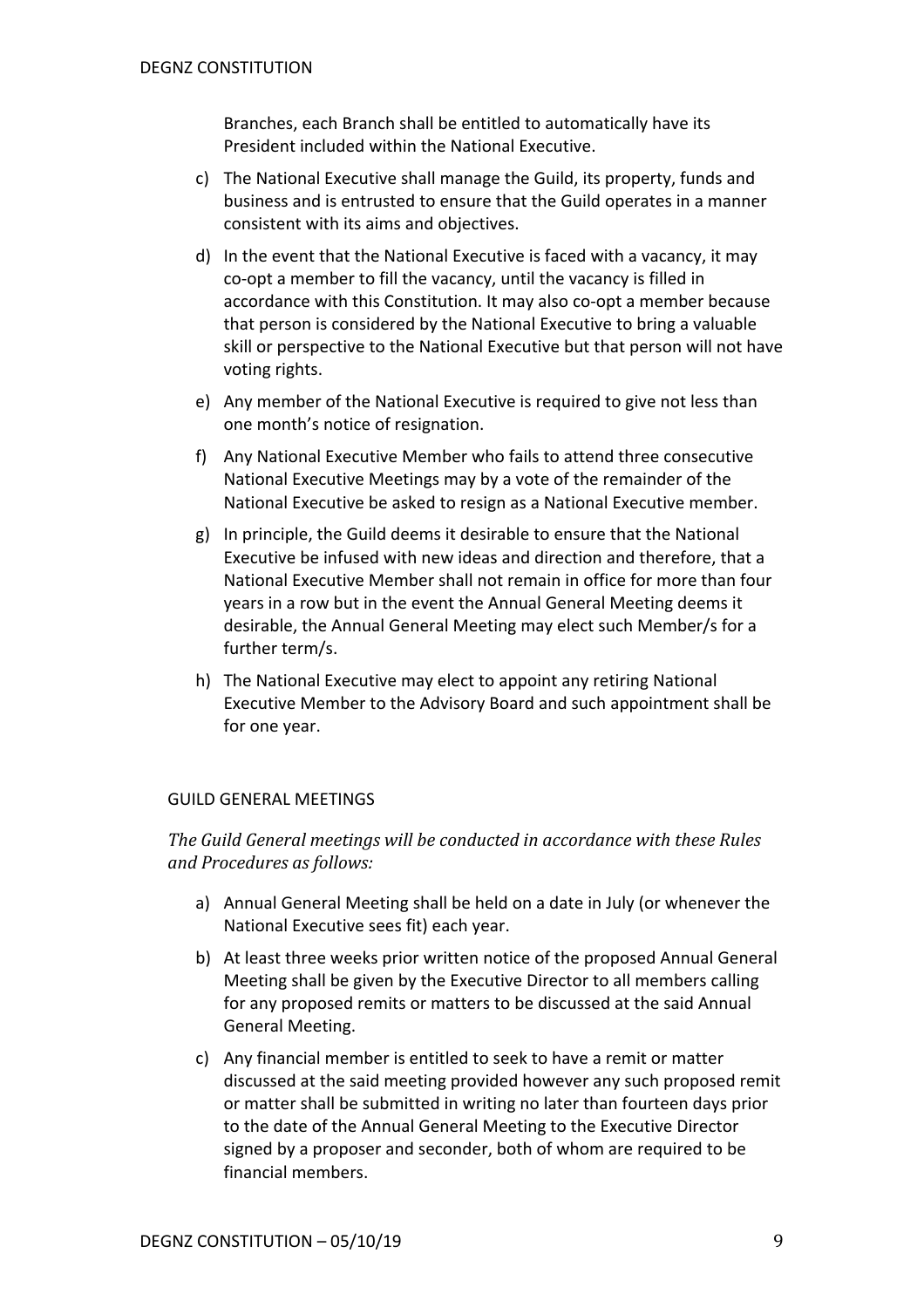Branches, each Branch shall be entitled to automatically have its President included within the National Executive.

- c) The National Executive shall manage the Guild, its property, funds and business and is entrusted to ensure that the Guild operates in a manner consistent with its aims and objectives.
- d) In the event that the National Executive is faced with a vacancy, it may co-opt a member to fill the vacancy, until the vacancy is filled in accordance with this Constitution. It may also co-opt a member because that person is considered by the National Executive to bring a valuable skill or perspective to the National Executive but that person will not have voting rights.
- e) Any member of the National Executive is required to give not less than one month's notice of resignation.
- f) Any National Executive Member who fails to attend three consecutive National Executive Meetings may by a vote of the remainder of the National Executive be asked to resign as a National Executive member.
- g) In principle, the Guild deems it desirable to ensure that the National Executive be infused with new ideas and direction and therefore, that a National Executive Member shall not remain in office for more than four years in a row but in the event the Annual General Meeting deems it desirable, the Annual General Meeting may elect such Member/s for a further term/s.
- h) The National Executive may elect to appoint any retiring National Executive Member to the Advisory Board and such appointment shall be for one year.

# GUILD GENERAL MEETINGS

The Guild General meetings will be conducted in accordance with these Rules *and Procedures as follows:*

- a) Annual General Meeting shall be held on a date in July (or whenever the National Executive sees fit) each year.
- b) At least three weeks prior written notice of the proposed Annual General Meeting shall be given by the Executive Director to all members calling for any proposed remits or matters to be discussed at the said Annual General Meeting.
- c) Any financial member is entitled to seek to have a remit or matter discussed at the said meeting provided however any such proposed remit or matter shall be submitted in writing no later than fourteen days prior to the date of the Annual General Meeting to the Executive Director signed by a proposer and seconder, both of whom are required to be financial members.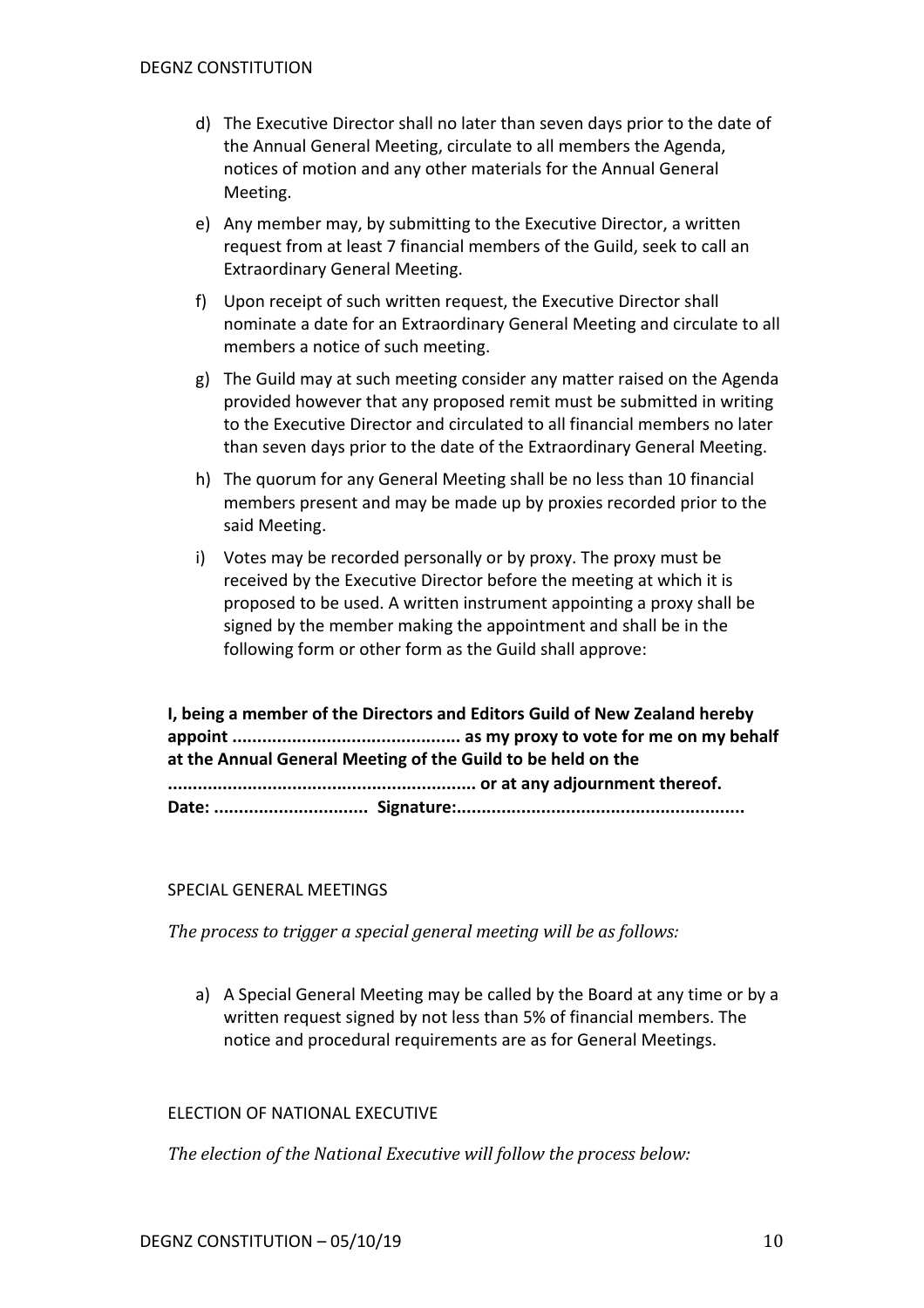- d) The Executive Director shall no later than seven days prior to the date of the Annual General Meeting, circulate to all members the Agenda, notices of motion and any other materials for the Annual General Meeting.
- e) Any member may, by submitting to the Executive Director, a written request from at least 7 financial members of the Guild, seek to call an Extraordinary General Meeting.
- f) Upon receipt of such written request, the Executive Director shall nominate a date for an Extraordinary General Meeting and circulate to all members a notice of such meeting.
- g) The Guild may at such meeting consider any matter raised on the Agenda provided however that any proposed remit must be submitted in writing to the Executive Director and circulated to all financial members no later than seven days prior to the date of the Extraordinary General Meeting.
- h) The quorum for any General Meeting shall be no less than 10 financial members present and may be made up by proxies recorded prior to the said Meeting.
- i) Votes may be recorded personally or by proxy. The proxy must be received by the Executive Director before the meeting at which it is proposed to be used. A written instrument appointing a proxy shall be signed by the member making the appointment and shall be in the following form or other form as the Guild shall approve:

| I, being a member of the Directors and Editors Guild of New Zealand hereby |
|----------------------------------------------------------------------------|
|                                                                            |
| at the Annual General Meeting of the Guild to be held on the               |
|                                                                            |
|                                                                            |

## SPECIAL GENERAL MEETINGS

*The process to trigger a special general meeting will be as follows:* 

a) A Special General Meeting may be called by the Board at any time or by a written request signed by not less than 5% of financial members. The notice and procedural requirements are as for General Meetings.

#### ELECTION OF NATIONAL EXECUTIVE

The election of the National Executive will follow the process below: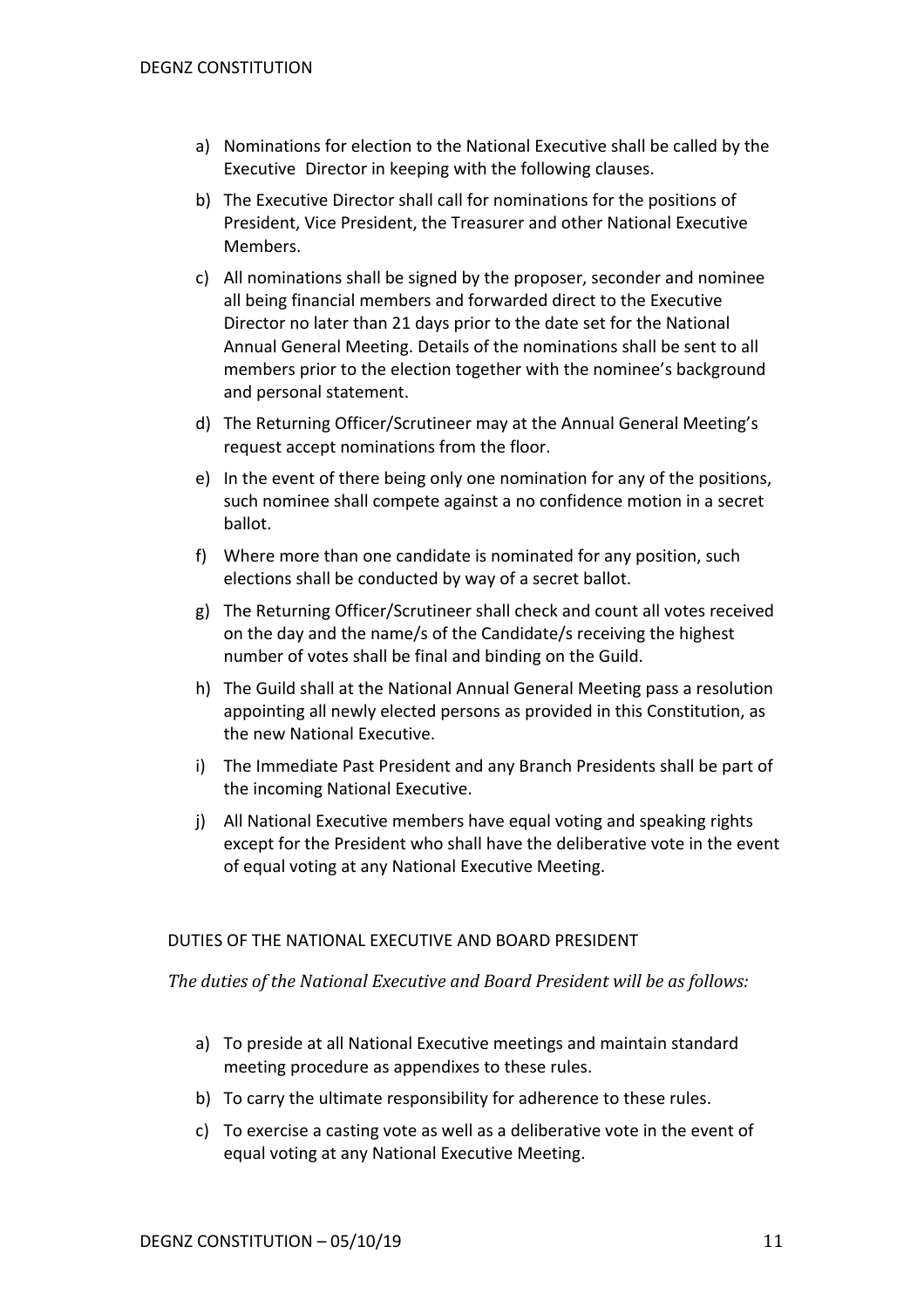- a) Nominations for election to the National Executive shall be called by the Executive Director in keeping with the following clauses.
- b) The Executive Director shall call for nominations for the positions of President, Vice President, the Treasurer and other National Executive Members.
- c) All nominations shall be signed by the proposer, seconder and nominee all being financial members and forwarded direct to the Executive Director no later than 21 days prior to the date set for the National Annual General Meeting. Details of the nominations shall be sent to all members prior to the election together with the nominee's background and personal statement.
- d) The Returning Officer/Scrutineer may at the Annual General Meeting's request accept nominations from the floor.
- e) In the event of there being only one nomination for any of the positions, such nominee shall compete against a no confidence motion in a secret ballot.
- f) Where more than one candidate is nominated for any position, such elections shall be conducted by way of a secret ballot.
- g) The Returning Officer/Scrutineer shall check and count all votes received on the day and the name/s of the Candidate/s receiving the highest number of votes shall be final and binding on the Guild.
- h) The Guild shall at the National Annual General Meeting pass a resolution appointing all newly elected persons as provided in this Constitution, as the new National Executive.
- i) The Immediate Past President and any Branch Presidents shall be part of the incoming National Executive.
- j) All National Executive members have equal voting and speaking rights except for the President who shall have the deliberative vote in the event of equal voting at any National Executive Meeting.

## DUTIES OF THE NATIONAL EXECUTIVE AND BOARD PRESIDENT

The duties of the National Executive and Board President will be as follows:

- a) To preside at all National Executive meetings and maintain standard meeting procedure as appendixes to these rules.
- b) To carry the ultimate responsibility for adherence to these rules.
- c) To exercise a casting vote as well as a deliberative vote in the event of equal voting at any National Executive Meeting.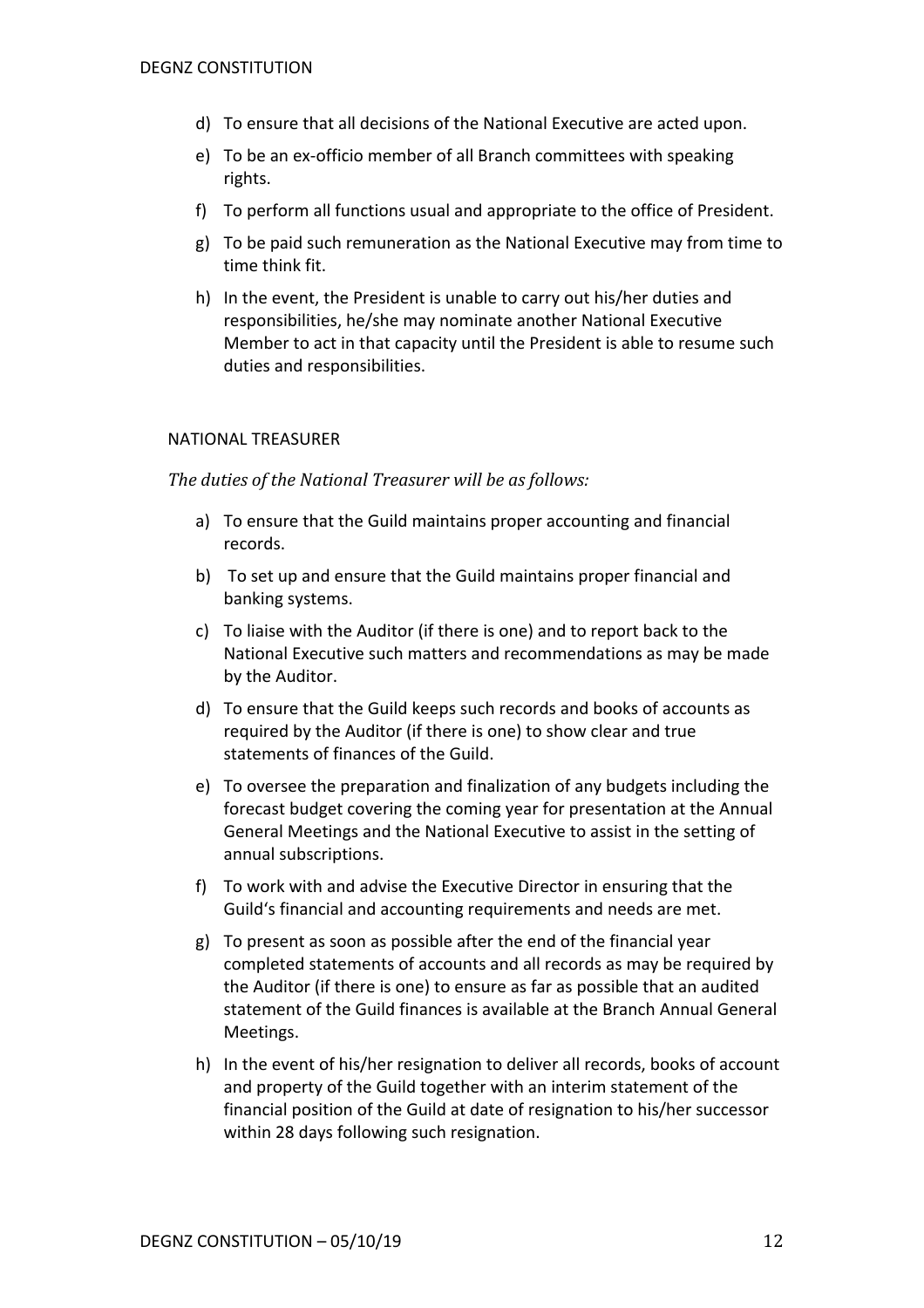- d) To ensure that all decisions of the National Executive are acted upon.
- e) To be an ex-officio member of all Branch committees with speaking rights.
- f) To perform all functions usual and appropriate to the office of President.
- g) To be paid such remuneration as the National Executive may from time to time think fit.
- h) In the event, the President is unable to carry out his/her duties and responsibilities, he/she may nominate another National Executive Member to act in that capacity until the President is able to resume such duties and responsibilities.

#### NATIONAL TREASURER

#### The duties of the National Treasurer will be as follows:

- a) To ensure that the Guild maintains proper accounting and financial records.
- b) To set up and ensure that the Guild maintains proper financial and banking systems.
- c) To liaise with the Auditor (if there is one) and to report back to the National Executive such matters and recommendations as may be made by the Auditor.
- d) To ensure that the Guild keeps such records and books of accounts as required by the Auditor (if there is one) to show clear and true statements of finances of the Guild.
- e) To oversee the preparation and finalization of any budgets including the forecast budget covering the coming year for presentation at the Annual General Meetings and the National Executive to assist in the setting of annual subscriptions.
- f) To work with and advise the Executive Director in ensuring that the Guild's financial and accounting requirements and needs are met.
- g) To present as soon as possible after the end of the financial year completed statements of accounts and all records as may be required by the Auditor (if there is one) to ensure as far as possible that an audited statement of the Guild finances is available at the Branch Annual General Meetings.
- h) In the event of his/her resignation to deliver all records, books of account and property of the Guild together with an interim statement of the financial position of the Guild at date of resignation to his/her successor within 28 days following such resignation.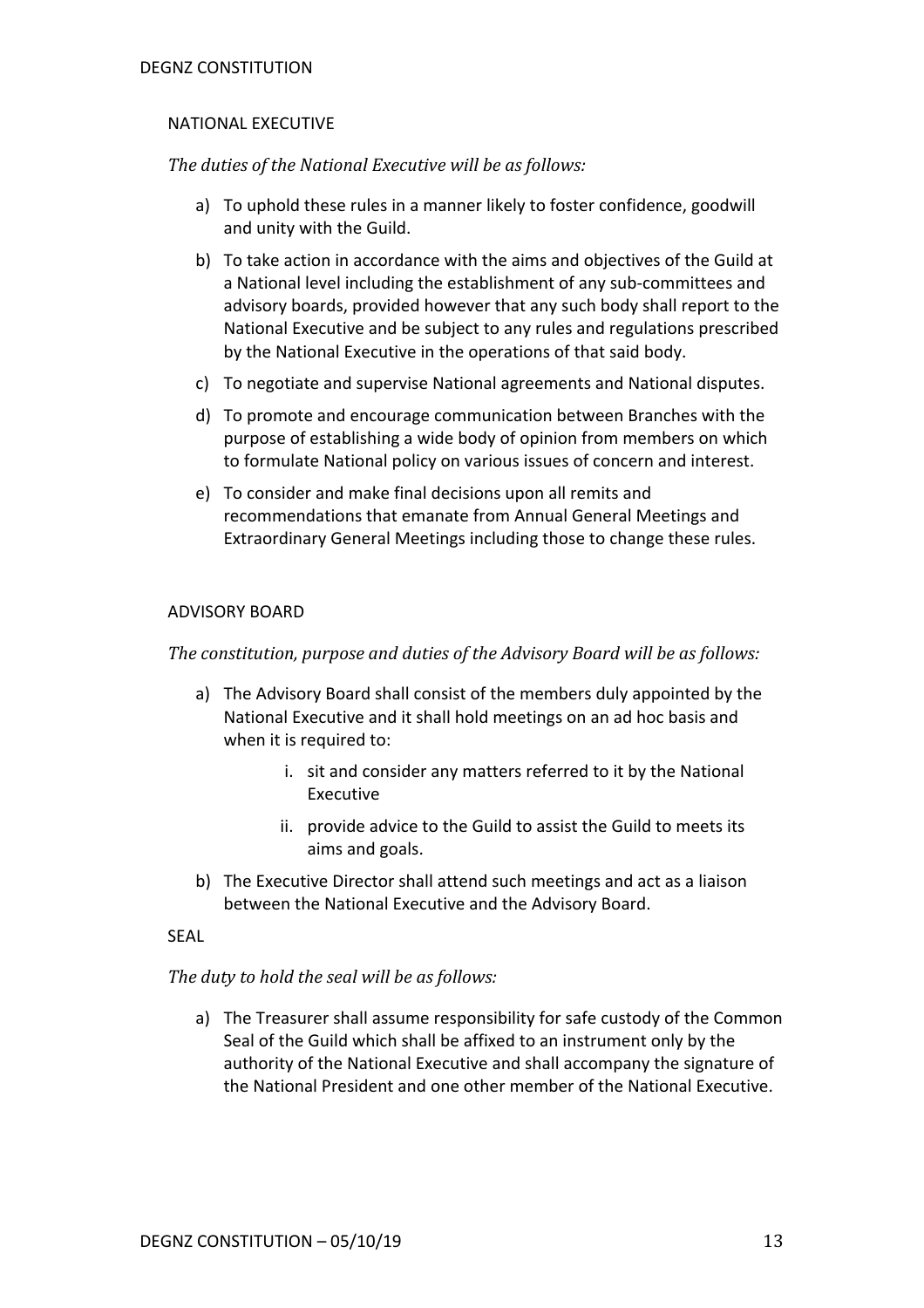# NATIONAL EXECUTIVE

*The duties of the National Executive will be as follows:* 

- a) To uphold these rules in a manner likely to foster confidence, goodwill and unity with the Guild.
- b) To take action in accordance with the aims and objectives of the Guild at a National level including the establishment of any sub-committees and advisory boards, provided however that any such body shall report to the National Executive and be subject to any rules and regulations prescribed by the National Executive in the operations of that said body.
- c) To negotiate and supervise National agreements and National disputes.
- d) To promote and encourage communication between Branches with the purpose of establishing a wide body of opinion from members on which to formulate National policy on various issues of concern and interest.
- e) To consider and make final decisions upon all remits and recommendations that emanate from Annual General Meetings and Extraordinary General Meetings including those to change these rules.

# ADVISORY BOARD

The constitution, purpose and duties of the Advisory Board will be as follows:

- a) The Advisory Board shall consist of the members duly appointed by the National Executive and it shall hold meetings on an ad hoc basis and when it is required to:
	- i. sit and consider any matters referred to it by the National Executive
	- ii. provide advice to the Guild to assist the Guild to meets its aims and goals.
- b) The Executive Director shall attend such meetings and act as a liaison between the National Executive and the Advisory Board.

## SEAL

# The duty to hold the seal will be as follows:

a) The Treasurer shall assume responsibility for safe custody of the Common Seal of the Guild which shall be affixed to an instrument only by the authority of the National Executive and shall accompany the signature of the National President and one other member of the National Executive.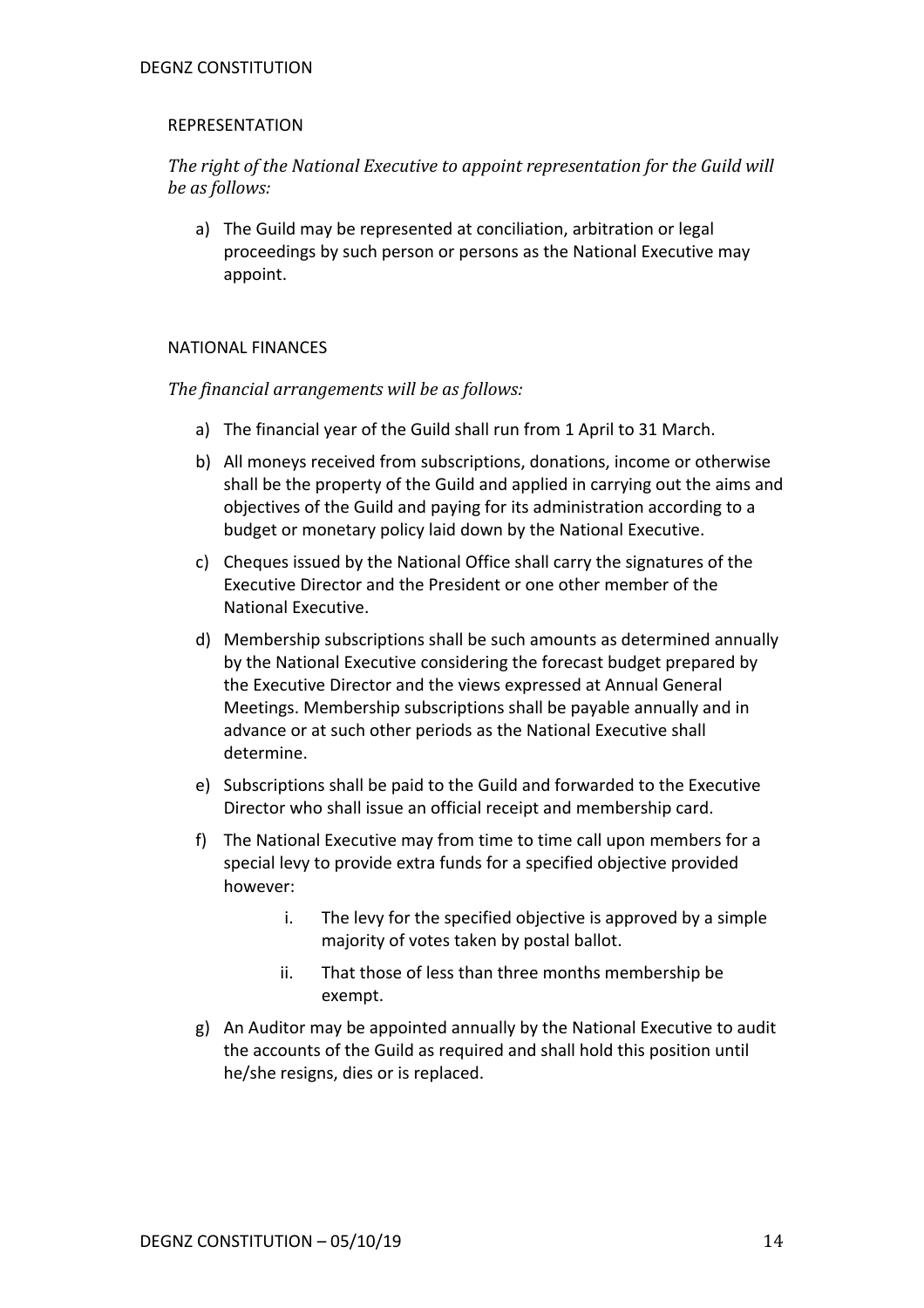## REPRESENTATION

The right of the National Executive to appoint representation for the Guild will *be as follows:*

a) The Guild may be represented at conciliation, arbitration or legal proceedings by such person or persons as the National Executive may appoint.

# NATIONAL FINANCES

The financial arrangements will be as follows:

- a) The financial year of the Guild shall run from 1 April to 31 March.
- b) All moneys received from subscriptions, donations, income or otherwise shall be the property of the Guild and applied in carrying out the aims and objectives of the Guild and paying for its administration according to a budget or monetary policy laid down by the National Executive.
- c) Cheques issued by the National Office shall carry the signatures of the Executive Director and the President or one other member of the National Executive.
- d) Membership subscriptions shall be such amounts as determined annually by the National Executive considering the forecast budget prepared by the Executive Director and the views expressed at Annual General Meetings. Membership subscriptions shall be payable annually and in advance or at such other periods as the National Executive shall determine.
- e) Subscriptions shall be paid to the Guild and forwarded to the Executive Director who shall issue an official receipt and membership card.
- f) The National Executive may from time to time call upon members for a special levy to provide extra funds for a specified objective provided however:
	- i. The levy for the specified objective is approved by a simple majority of votes taken by postal ballot.
	- ii. That those of less than three months membership be exempt.
- g) An Auditor may be appointed annually by the National Executive to audit the accounts of the Guild as required and shall hold this position until he/she resigns, dies or is replaced.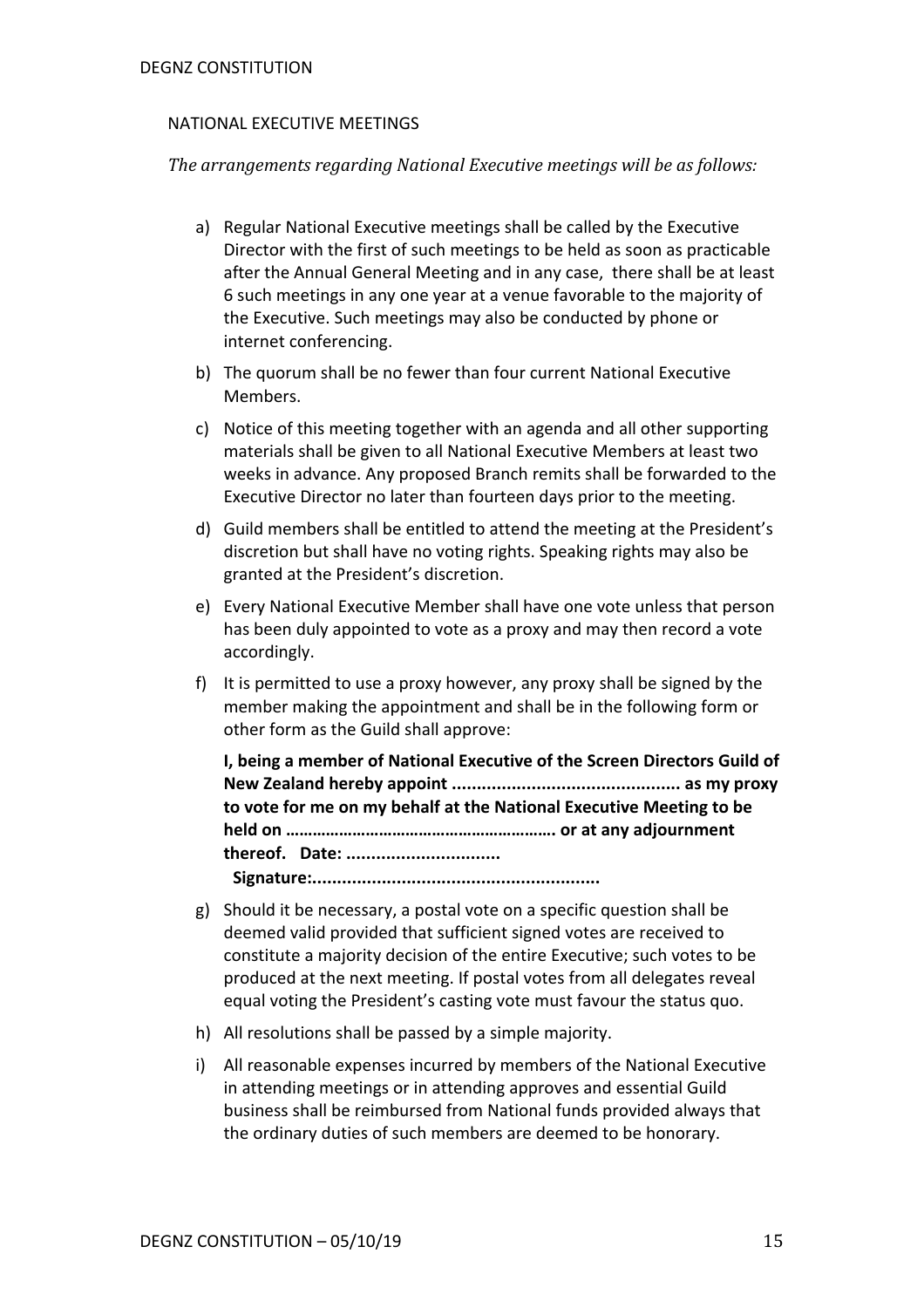#### NATIONAL EXECUTIVE MEETINGS

*The arrangements regarding National Executive meetings will be as follows:* 

- a) Regular National Executive meetings shall be called by the Executive Director with the first of such meetings to be held as soon as practicable after the Annual General Meeting and in any case, there shall be at least 6 such meetings in any one year at a venue favorable to the majority of the Executive. Such meetings may also be conducted by phone or internet conferencing.
- b) The quorum shall be no fewer than four current National Executive Members.
- c) Notice of this meeting together with an agenda and all other supporting materials shall be given to all National Executive Members at least two weeks in advance. Any proposed Branch remits shall be forwarded to the Executive Director no later than fourteen days prior to the meeting.
- d) Guild members shall be entitled to attend the meeting at the President's discretion but shall have no voting rights. Speaking rights may also be granted at the President's discretion.
- e) Every National Executive Member shall have one vote unless that person has been duly appointed to vote as a proxy and may then record a vote accordingly.
- f) It is permitted to use a proxy however, any proxy shall be signed by the member making the appointment and shall be in the following form or other form as the Guild shall approve:

**I, being a member of National Executive of the Screen Directors Guild of New Zealand hereby appoint .............................................. as my proxy to vote for me on my behalf at the National Executive Meeting to be held on ……………………………………………………. or at any adjournment thereof. Date: ............................... Signature:..........................................................**

- 
- g) Should it be necessary, a postal vote on a specific question shall be deemed valid provided that sufficient signed votes are received to constitute a majority decision of the entire Executive; such votes to be produced at the next meeting. If postal votes from all delegates reveal equal voting the President's casting vote must favour the status quo.
- h) All resolutions shall be passed by a simple majority.
- i) All reasonable expenses incurred by members of the National Executive in attending meetings or in attending approves and essential Guild business shall be reimbursed from National funds provided always that the ordinary duties of such members are deemed to be honorary.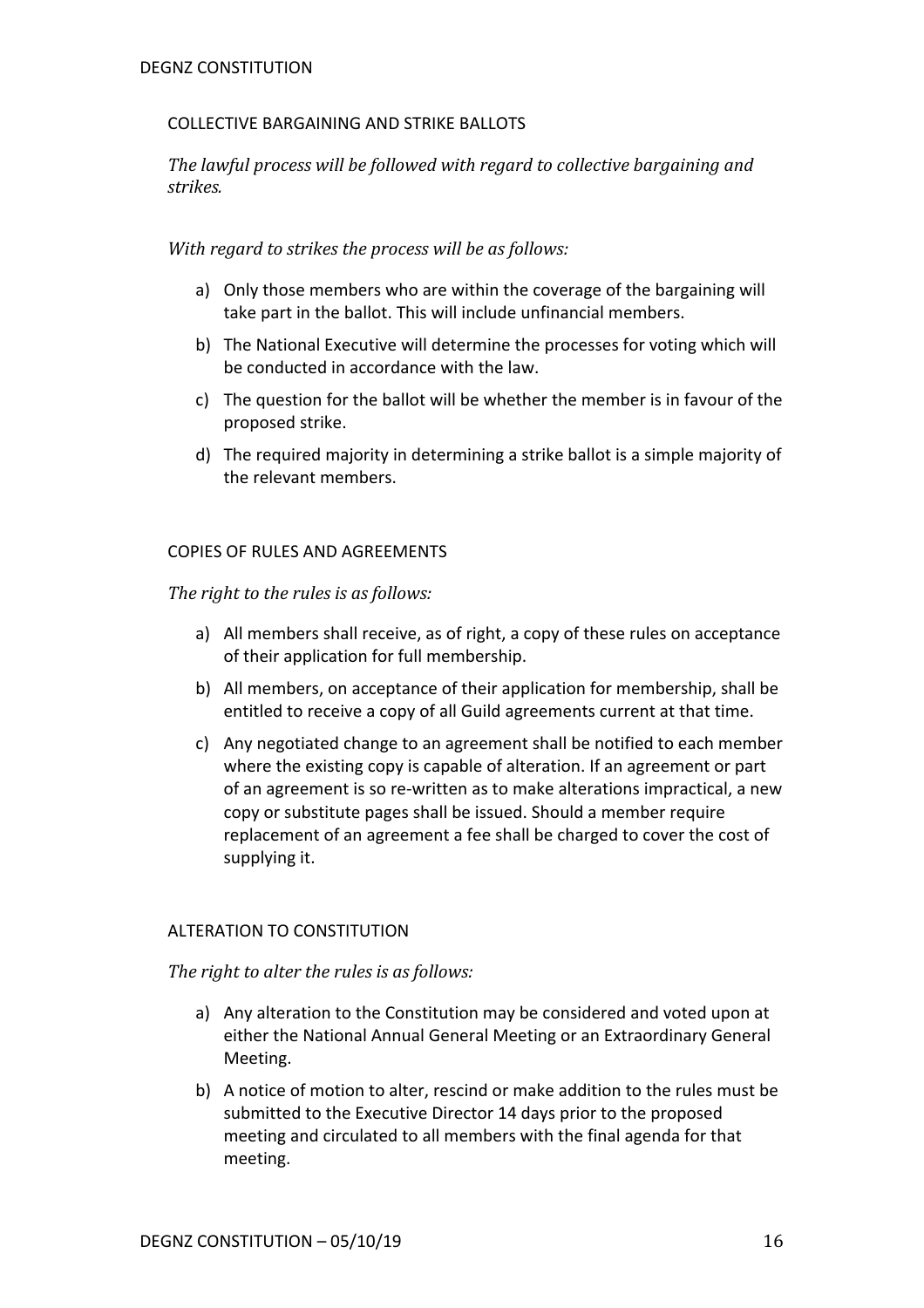# COLLECTIVE BARGAINING AND STRIKE BALLOTS

The lawful process will be followed with regard to collective bargaining and *strikes.* 

*With regard to strikes the process will be as follows:* 

- a) Only those members who are within the coverage of the bargaining will take part in the ballot. This will include unfinancial members.
- b) The National Executive will determine the processes for voting which will be conducted in accordance with the law.
- c) The question for the ballot will be whether the member is in favour of the proposed strike.
- d) The required majority in determining a strike ballot is a simple majority of the relevant members.

# COPIES OF RULES AND AGREEMENTS

The right to the rules is as follows:

- a) All members shall receive, as of right, a copy of these rules on acceptance of their application for full membership.
- b) All members, on acceptance of their application for membership, shall be entitled to receive a copy of all Guild agreements current at that time.
- c) Any negotiated change to an agreement shall be notified to each member where the existing copy is capable of alteration. If an agreement or part of an agreement is so re-written as to make alterations impractical, a new copy or substitute pages shall be issued. Should a member require replacement of an agreement a fee shall be charged to cover the cost of supplying it.

# ALTERATION TO CONSTITUTION

*The right to alter the rules is as follows:* 

- a) Any alteration to the Constitution may be considered and voted upon at either the National Annual General Meeting or an Extraordinary General Meeting.
- b) A notice of motion to alter, rescind or make addition to the rules must be submitted to the Executive Director 14 days prior to the proposed meeting and circulated to all members with the final agenda for that meeting.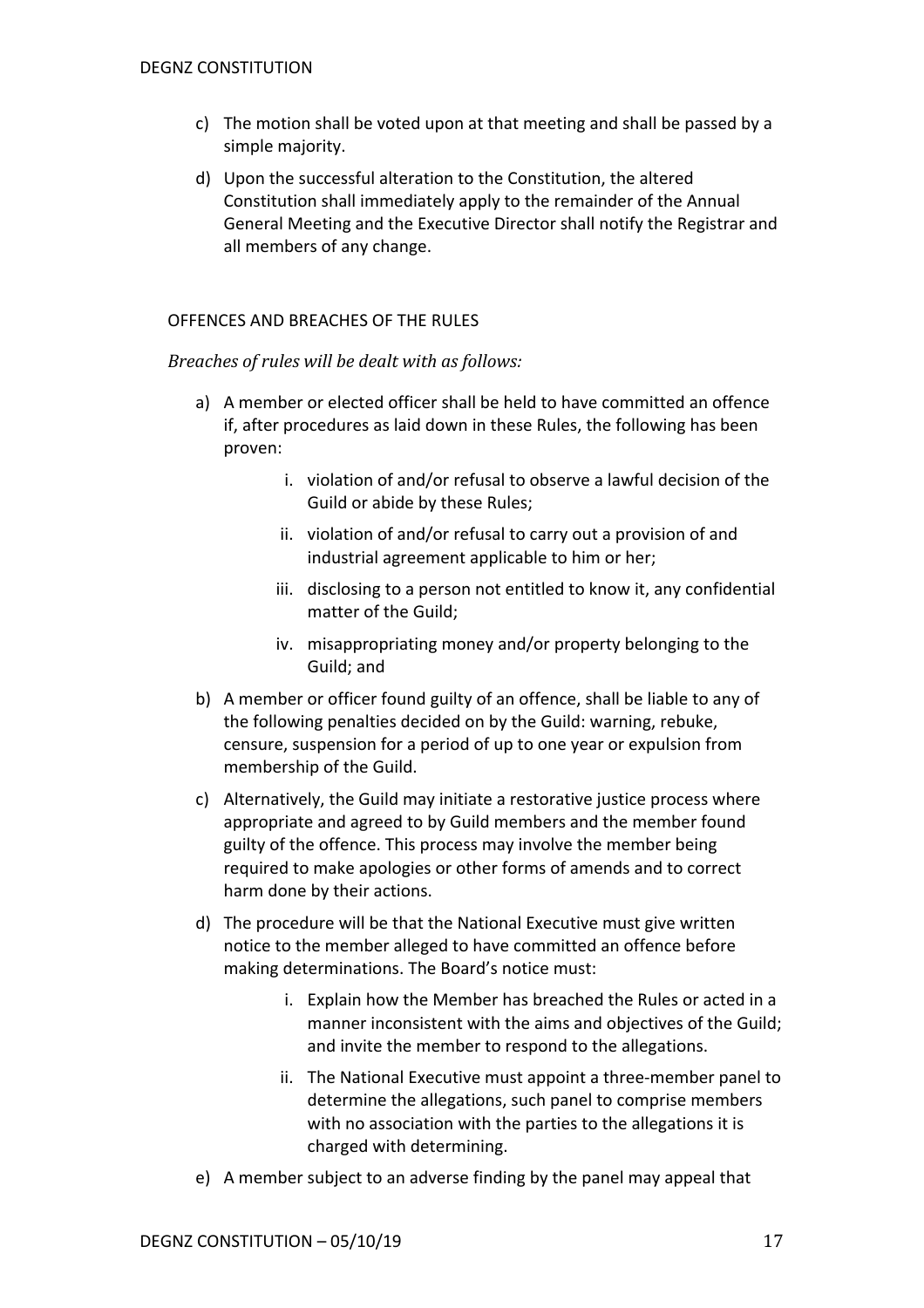- c) The motion shall be voted upon at that meeting and shall be passed by a simple majority.
- d) Upon the successful alteration to the Constitution, the altered Constitution shall immediately apply to the remainder of the Annual General Meeting and the Executive Director shall notify the Registrar and all members of any change.

## OFFENCES AND BREACHES OF THE RULES

#### *Breaches of rules will be dealt with as follows:*

- a) A member or elected officer shall be held to have committed an offence if, after procedures as laid down in these Rules, the following has been proven:
	- i. violation of and/or refusal to observe a lawful decision of the Guild or abide by these Rules;
	- ii. violation of and/or refusal to carry out a provision of and industrial agreement applicable to him or her;
	- iii. disclosing to a person not entitled to know it, any confidential matter of the Guild;
	- iv. misappropriating money and/or property belonging to the Guild; and
- b) A member or officer found guilty of an offence, shall be liable to any of the following penalties decided on by the Guild: warning, rebuke, censure, suspension for a period of up to one year or expulsion from membership of the Guild.
- c) Alternatively, the Guild may initiate a restorative justice process where appropriate and agreed to by Guild members and the member found guilty of the offence. This process may involve the member being required to make apologies or other forms of amends and to correct harm done by their actions.
- d) The procedure will be that the National Executive must give written notice to the member alleged to have committed an offence before making determinations. The Board's notice must:
	- i. Explain how the Member has breached the Rules or acted in a manner inconsistent with the aims and objectives of the Guild; and invite the member to respond to the allegations.
	- ii. The National Executive must appoint a three-member panel to determine the allegations, such panel to comprise members with no association with the parties to the allegations it is charged with determining.
- e) A member subject to an adverse finding by the panel may appeal that